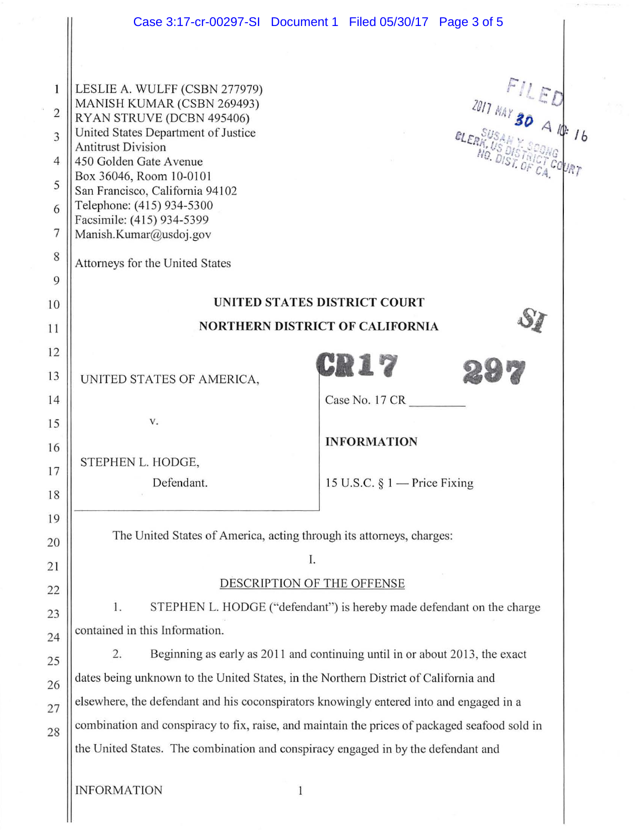|                                                                       | Case 3:17-cr-00297-SI Document 1 Filed 05/30/17 Page 3 of 5                                                                                                                                                                                                                                                                                                                 |                                                    |
|-----------------------------------------------------------------------|-----------------------------------------------------------------------------------------------------------------------------------------------------------------------------------------------------------------------------------------------------------------------------------------------------------------------------------------------------------------------------|----------------------------------------------------|
| $\mathbf{1}$<br>$\sqrt{2}$<br>3<br>$\overline{4}$<br>5<br>6<br>7<br>8 | LESLIE A. WULFF (CSBN 277979)<br>MANISH KUMAR (CSBN 269493)<br>RYAN STRUVE (DCBN 495406)<br>United States Department of Justice<br><b>Antitrust Division</b><br>450 Golden Gate Avenue<br>Box 36046, Room 10-0101<br>San Francisco, California 94102<br>Telephone: (415) 934-5300<br>Facsimile: (415) 934-5399<br>Manish.Kumar@usdoj.gov<br>Attorneys for the United States | $FILED2017 MAY 30 A/P 16$<br>10. DIST. OF CA COURT |
| 9<br>10                                                               | UNITED STATES DISTRICT COURT                                                                                                                                                                                                                                                                                                                                                |                                                    |
| 11                                                                    | <b>NORTHERN DISTRICT OF CALIFORNIA</b>                                                                                                                                                                                                                                                                                                                                      |                                                    |
| 12                                                                    |                                                                                                                                                                                                                                                                                                                                                                             |                                                    |
| 13                                                                    | UNITED STATES OF AMERICA,                                                                                                                                                                                                                                                                                                                                                   | CR17                                               |
| 14                                                                    |                                                                                                                                                                                                                                                                                                                                                                             | Case No. 17 CR                                     |
| 15                                                                    | V.                                                                                                                                                                                                                                                                                                                                                                          |                                                    |
| 16                                                                    | STEPHEN L. HODGE,                                                                                                                                                                                                                                                                                                                                                           | <b>INFORMATION</b>                                 |
| 17                                                                    | Defendant.                                                                                                                                                                                                                                                                                                                                                                  | 15 U.S.C. $\S 1$ – Price Fixing                    |
| 18                                                                    |                                                                                                                                                                                                                                                                                                                                                                             |                                                    |
| 19                                                                    | The United States of America, acting through its attorneys, charges:                                                                                                                                                                                                                                                                                                        |                                                    |
| 20                                                                    | Ι.                                                                                                                                                                                                                                                                                                                                                                          |                                                    |
| 21<br>22                                                              | DESCRIPTION OF THE OFFENSE                                                                                                                                                                                                                                                                                                                                                  |                                                    |
| 23                                                                    | 1.<br>STEPHEN L. HODGE ("defendant") is hereby made defendant on the charge                                                                                                                                                                                                                                                                                                 |                                                    |
| 24                                                                    | contained in this Information.                                                                                                                                                                                                                                                                                                                                              |                                                    |
| 25                                                                    | Beginning as early as 2011 and continuing until in or about 2013, the exact<br>2.                                                                                                                                                                                                                                                                                           |                                                    |
| 26                                                                    | dates being unknown to the United States, in the Northern District of California and                                                                                                                                                                                                                                                                                        |                                                    |
| 27                                                                    | elsewhere, the defendant and his coconspirators knowingly entered into and engaged in a                                                                                                                                                                                                                                                                                     |                                                    |
| 28                                                                    | combination and conspiracy to fix, raise, and maintain the prices of packaged seafood sold in                                                                                                                                                                                                                                                                               |                                                    |
|                                                                       | the United States. The combination and conspiracy engaged in by the defendant and                                                                                                                                                                                                                                                                                           |                                                    |
|                                                                       | <b>INFORMATION</b><br>$\mathbf{1}$                                                                                                                                                                                                                                                                                                                                          |                                                    |

 $\frac{1}{2}$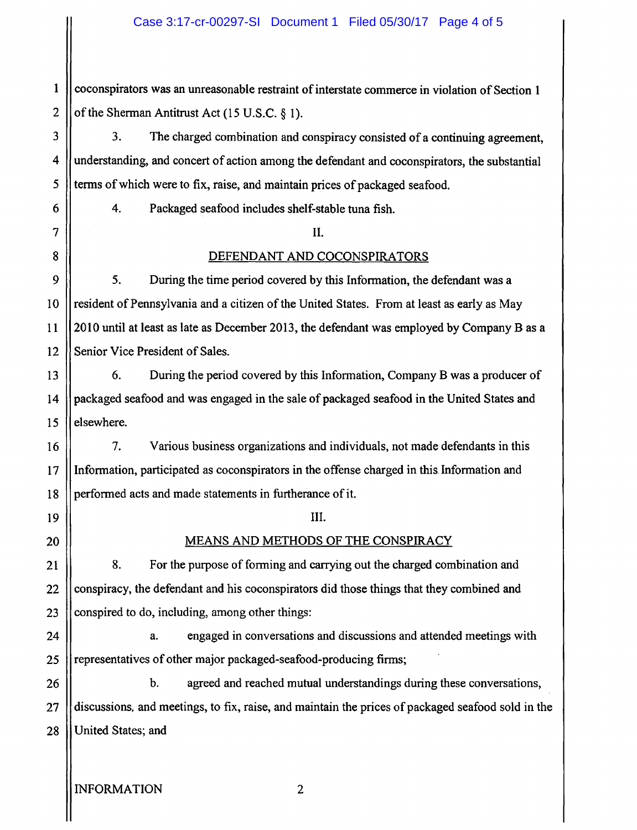1 2 coconspirators was an unreasonable restraint of interstate commerce in violation of Section 1 of the Sherman Antitrust Act (15 U.S.C. § 1).

3. The charged combination and conspiracy consisted of a continuing agreement, understanding, and concert of action among the defendant and coconspirators, the substantial terms of which were to fix, raise, and maintain prices of packaged seafood.

4. Packaged seafood includes shelf-stable tuna fish.

## II.

## DEFENDANT AND COCONSPIRATORS

5. During the time period covered by this Information, the defendant was a resident of Pennsylvania and a citizen of the United States. From at least as early as May 2010 until at least as late as December 2013, the defendant was employed by Company B as a Senior Vice President of Sales.

6. During the period covered by this Information, Company B was a producer of packaged seafood and was engaged in the sale of packaged seafood in the United States and elsewhere.

7. Various business organizations and individuals, not made defendants in this Information, participated as coconspirators in the offense charged in this. Information and performed acts and made statements in furtherance of it.

III.

## MEANS AND METHODS OF THE CONSPIRACY

8. For the purpose of forming and carrying out the charged combination and conspiracy, the defendant and his coconspirators did those things that they combined and conspired to do, including, among other things:

24 25 a. engaged in conversations and discussions and attended meetings with representatives of other major packaged-seafood-producing firms;

28 b. agreed and reached mutual understandings during these conversations, discussions, and meetings, to fix, raise, and maintain the prices of packaged seafood sold in the United States; and

3

4

5

6

7

8

9

10

11

12

13

14

15

16

17

18

19

20

21

22

23

26

27